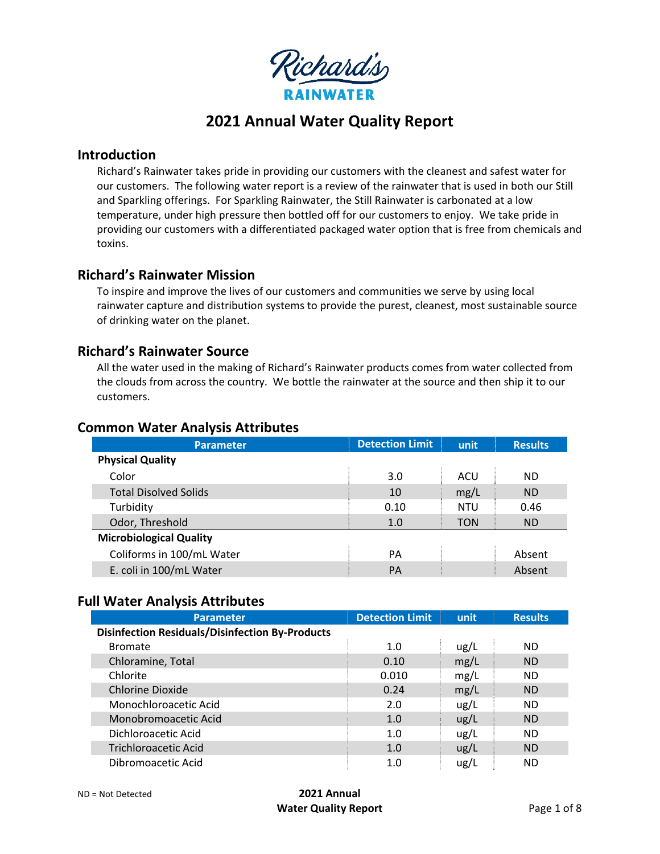

# **2021 Annual Water Quality Report**

### **Introduction**

Richard's Rainwater takes pride in providing our customers with the cleanest and safest water for our customers. The following water report is a review of the rainwater that is used in both our Still and Sparkling offerings. For Sparkling Rainwater, the Still Rainwater is carbonated at a low temperature, under high pressure then bottled off for our customers to enjoy. We take pride in providing our customers with a differentiated packaged water option that is free from chemicals and toxins.

# **Richard's Rainwater Mission**

To inspire and improve the lives of our customers and communities we serve by using local rainwater capture and distribution systems to provide the purest, cleanest, most sustainable source of drinking water on the planet.

## **Richard's Rainwater Source**

All the water used in the making of Richard's Rainwater products comes from water collected from the clouds from across the country. We bottle the rainwater at the source and then ship it to our customers.

#### **Common Water Analysis Attributes**

| <b>Parameter</b>               | <b>Detection Limit</b> | unit       | <b>Results</b> |
|--------------------------------|------------------------|------------|----------------|
| <b>Physical Quality</b>        |                        |            |                |
| Color                          | 3.0                    | ACU        | <b>ND</b>      |
| <b>Total Disolved Solids</b>   | 10                     | mg/L       | <b>ND</b>      |
| Turbidity                      | 0.10                   | <b>NTU</b> | 0.46           |
| Odor, Threshold                | 1.0                    | <b>TON</b> | <b>ND</b>      |
| <b>Microbiological Quality</b> |                        |            |                |
| Coliforms in 100/mL Water      | PA                     |            | Absent         |
| E. coli in 100/mL Water        | PA                     |            | Absent         |

#### **Full Water Analysis Attributes**

| <b>Parameter</b>                                       | <b>Detection Limit</b> | unit | <b>Results</b> |
|--------------------------------------------------------|------------------------|------|----------------|
| <b>Disinfection Residuals/Disinfection By-Products</b> |                        |      |                |
| <b>Bromate</b>                                         | 1.0                    | ug/L | <b>ND</b>      |
| Chloramine, Total                                      | 0.10                   | mg/L | <b>ND</b>      |
| Chlorite                                               | 0.010                  | mg/L | <b>ND</b>      |
| Chlorine Dioxide                                       | 0.24                   | mg/L | <b>ND</b>      |
| Monochloroacetic Acid                                  | 2.0                    | ug/L | ND.            |
| Monobromoacetic Acid                                   | 1.0                    | ug/L | <b>ND</b>      |
| Dichloroacetic Acid                                    | 1.0                    | ug/L | <b>ND</b>      |
| <b>Trichloroacetic Acid</b>                            | 1.0                    | ug/L | <b>ND</b>      |
| Dibromoacetic Acid                                     | 1.0                    | ug/L | ND             |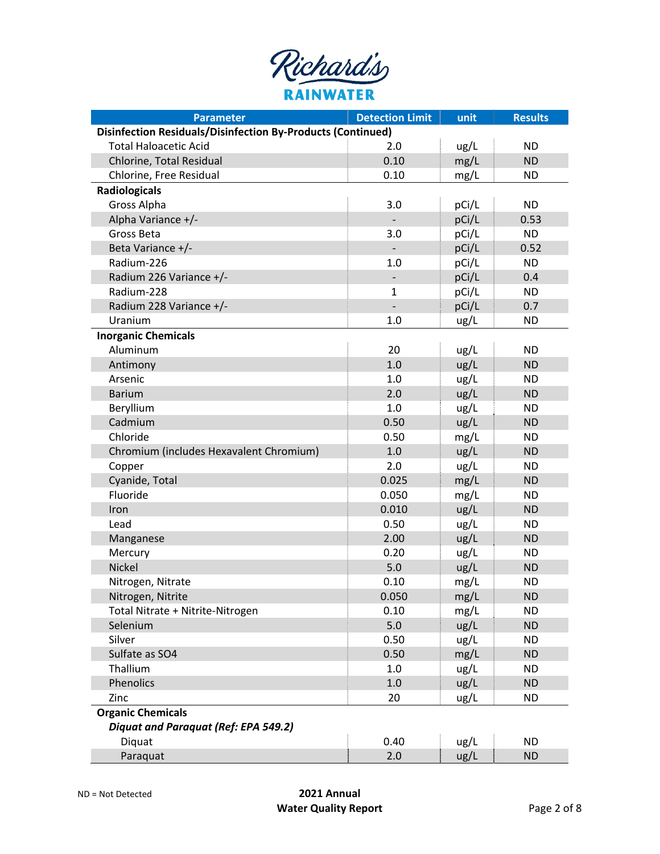| Richard's        |
|------------------|
| <b>RAINWATER</b> |

| <b>Parameter</b>                                                   | <b>Detection Limit</b>   | unit  | <b>Results</b> |
|--------------------------------------------------------------------|--------------------------|-------|----------------|
| <b>Disinfection Residuals/Disinfection By-Products (Continued)</b> |                          |       |                |
| <b>Total Haloacetic Acid</b>                                       | 2.0                      | ug/L  | <b>ND</b>      |
| Chlorine, Total Residual                                           | 0.10                     | mg/L  | <b>ND</b>      |
| Chlorine, Free Residual                                            | 0.10                     | mg/L  | <b>ND</b>      |
| <b>Radiologicals</b>                                               |                          |       |                |
| Gross Alpha                                                        | 3.0                      | pCi/L | <b>ND</b>      |
| Alpha Variance +/-                                                 |                          | pCi/L | 0.53           |
| Gross Beta                                                         | 3.0                      | pCi/L | <b>ND</b>      |
| Beta Variance +/-                                                  |                          | pCi/L | 0.52           |
| Radium-226                                                         | 1.0                      | pCi/L | <b>ND</b>      |
| Radium 226 Variance +/-                                            |                          | pCi/L | 0.4            |
| Radium-228                                                         | 1                        | pCi/L | <b>ND</b>      |
| Radium 228 Variance +/-                                            | $\overline{\phantom{0}}$ | pCi/L | 0.7            |
| Uranium                                                            | 1.0                      | ug/L  | ND             |
| <b>Inorganic Chemicals</b>                                         |                          |       |                |
| Aluminum                                                           | 20                       | ug/L  | <b>ND</b>      |
| Antimony                                                           | 1.0                      | ug/L  | <b>ND</b>      |
| Arsenic                                                            | 1.0                      | ug/L  | <b>ND</b>      |
| <b>Barium</b>                                                      | 2.0                      | ug/L  | <b>ND</b>      |
| Beryllium                                                          | 1.0                      | ug/L  | <b>ND</b>      |
| Cadmium                                                            | 0.50                     | ug/L  | <b>ND</b>      |
| Chloride                                                           | 0.50                     | mg/L  | <b>ND</b>      |
| Chromium (includes Hexavalent Chromium)                            | 1.0                      | ug/L  | <b>ND</b>      |
| Copper                                                             | 2.0                      | ug/L  | <b>ND</b>      |
| Cyanide, Total                                                     | 0.025                    | mg/L  | <b>ND</b>      |
| Fluoride                                                           | 0.050                    | mg/L  | <b>ND</b>      |
| Iron                                                               | 0.010                    | ug/L  | <b>ND</b>      |
| Lead                                                               | 0.50                     | ug/L  | <b>ND</b>      |
| Manganese                                                          | 2.00                     | ug/L  | <b>ND</b>      |
| Mercury                                                            | 0.20                     | ug/L  | <b>ND</b>      |
| Nickel                                                             | 5.0                      | ug/L  | <b>ND</b>      |
| Nitrogen, Nitrate                                                  | 0.10                     | mg/L  | <b>ND</b>      |
| Nitrogen, Nitrite                                                  | 0.050                    | mg/L  | <b>ND</b>      |
| Total Nitrate + Nitrite-Nitrogen                                   | 0.10                     | mg/L  | <b>ND</b>      |
| Selenium                                                           | 5.0                      | ug/L  | <b>ND</b>      |
| Silver                                                             | 0.50                     | ug/L  | <b>ND</b>      |
| Sulfate as SO4                                                     | 0.50                     | mg/L  | <b>ND</b>      |
| Thallium                                                           | 1.0                      | ug/L  | <b>ND</b>      |
| Phenolics                                                          | 1.0                      | ug/L  | <b>ND</b>      |
| Zinc                                                               | 20                       | ug/L  | <b>ND</b>      |
| <b>Organic Chemicals</b>                                           |                          |       |                |
| Diquat and Paraquat (Ref: EPA 549.2)                               |                          |       |                |
| Diquat                                                             | 0.40                     | ug/L  | <b>ND</b>      |
| Paraquat                                                           | 2.0                      | ug/L  | <b>ND</b>      |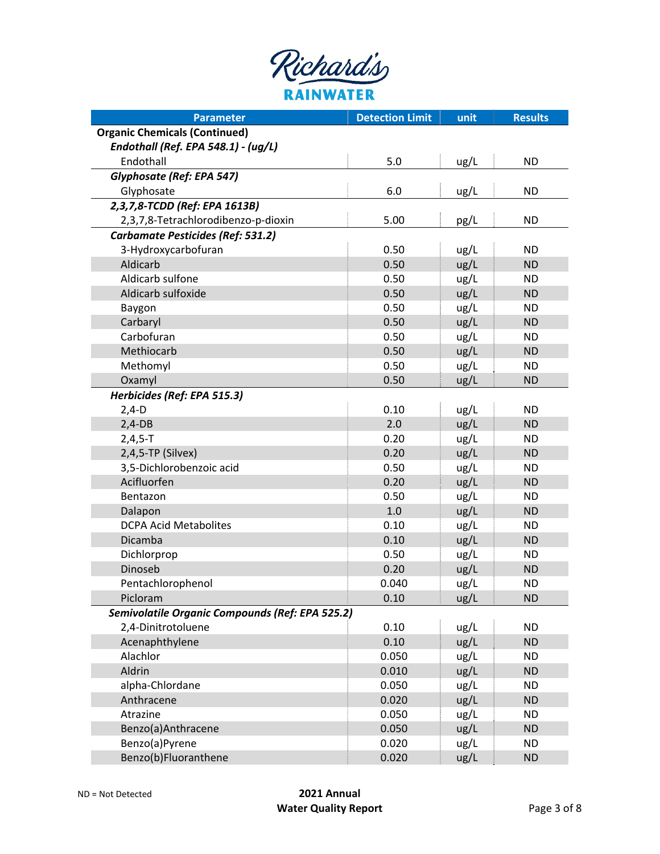| Richard's |
|-----------|
| RAINWATER |

| <b>Parameter</b>                                | <b>Detection Limit</b> | unit | <b>Results</b> |
|-------------------------------------------------|------------------------|------|----------------|
| <b>Organic Chemicals (Continued)</b>            |                        |      |                |
| Endothall (Ref. EPA 548.1) - (ug/L)             |                        |      |                |
| Endothall                                       | 5.0                    | ug/L | <b>ND</b>      |
| Glyphosate (Ref: EPA 547)                       |                        |      |                |
| Glyphosate                                      | 6.0                    | ug/L | <b>ND</b>      |
| 2,3,7,8-TCDD (Ref: EPA 1613B)                   |                        |      |                |
| 2,3,7,8-Tetrachlorodibenzo-p-dioxin             | 5.00                   | pg/L | <b>ND</b>      |
| Carbamate Pesticides (Ref: 531.2)               |                        |      |                |
| 3-Hydroxycarbofuran                             | 0.50                   | ug/L | <b>ND</b>      |
| Aldicarb                                        | 0.50                   | ug/L | <b>ND</b>      |
| Aldicarb sulfone                                | 0.50                   | ug/L | <b>ND</b>      |
| Aldicarb sulfoxide                              | 0.50                   | ug/L | <b>ND</b>      |
| Baygon                                          | 0.50                   | ug/L | <b>ND</b>      |
| Carbaryl                                        | 0.50                   | ug/L | <b>ND</b>      |
| Carbofuran                                      | 0.50                   | ug/L | <b>ND</b>      |
| Methiocarb                                      | 0.50                   | ug/L | <b>ND</b>      |
| Methomyl                                        | 0.50                   | ug/L | <b>ND</b>      |
| Oxamyl                                          | 0.50                   | ug/L | <b>ND</b>      |
| Herbicides (Ref: EPA 515.3)                     |                        |      |                |
| $2,4-D$                                         | 0.10                   | ug/L | <b>ND</b>      |
| $2,4-DB$                                        | 2.0                    | ug/L | <b>ND</b>      |
| $2,4,5-T$                                       | 0.20                   | ug/L | <b>ND</b>      |
| 2,4,5-TP (Silvex)                               | 0.20                   | ug/L | <b>ND</b>      |
| 3,5-Dichlorobenzoic acid                        | 0.50                   | ug/L | <b>ND</b>      |
| Acifluorfen                                     | 0.20                   | ug/L | <b>ND</b>      |
| Bentazon                                        | 0.50                   | ug/L | <b>ND</b>      |
| Dalapon                                         | 1.0                    | ug/L | <b>ND</b>      |
| <b>DCPA Acid Metabolites</b>                    | 0.10                   | ug/L | <b>ND</b>      |
| Dicamba                                         | 0.10                   | ug/L | <b>ND</b>      |
| Dichlorprop                                     | 0.50                   | ug/L | <b>ND</b>      |
| Dinoseb                                         | 0.20                   | ug/L | <b>ND</b>      |
| Pentachlorophenol                               | 0.040                  | ug/L | <b>ND</b>      |
| Picloram                                        | 0.10                   | ug/L | <b>ND</b>      |
| Semivolatile Organic Compounds (Ref: EPA 525.2) |                        |      |                |
| 2,4-Dinitrotoluene                              | 0.10                   | ug/L | <b>ND</b>      |
| Acenaphthylene                                  | 0.10                   | ug/L | <b>ND</b>      |
| Alachlor                                        | 0.050                  | ug/L | <b>ND</b>      |
| Aldrin                                          | 0.010                  | ug/L | <b>ND</b>      |
| alpha-Chlordane                                 | 0.050                  | ug/L | <b>ND</b>      |
| Anthracene                                      | 0.020                  | ug/L | <b>ND</b>      |
| Atrazine                                        | 0.050                  | ug/L | <b>ND</b>      |
| Benzo(a)Anthracene                              | 0.050                  | ug/L | <b>ND</b>      |
| Benzo(a)Pyrene                                  | 0.020                  | ug/L | <b>ND</b>      |
| Benzo(b)Fluoranthene                            | 0.020                  | ug/L | <b>ND</b>      |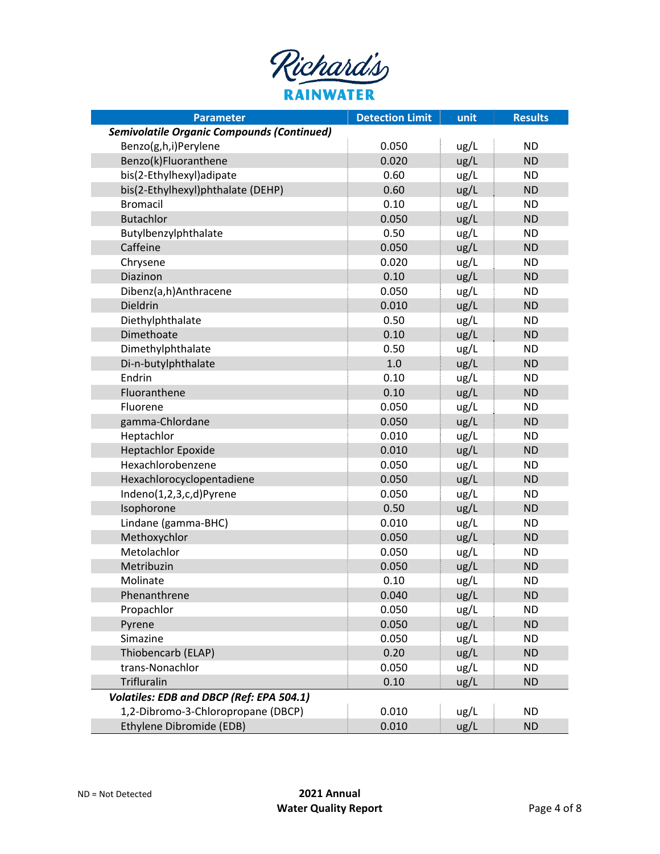| Richard's        |
|------------------|
| <b>RAINWATER</b> |

| <b>Parameter</b>                                  | <b>Detection Limit</b> | unit | <b>Results</b> |
|---------------------------------------------------|------------------------|------|----------------|
| <b>Semivolatile Organic Compounds (Continued)</b> |                        |      |                |
| Benzo(g,h,i)Perylene                              | 0.050                  | ug/L | <b>ND</b>      |
| Benzo(k)Fluoranthene                              | 0.020                  | ug/L | <b>ND</b>      |
| bis(2-Ethylhexyl)adipate                          | 0.60                   | ug/L | <b>ND</b>      |
| bis(2-Ethylhexyl)phthalate (DEHP)                 | 0.60                   | ug/L | <b>ND</b>      |
| <b>Bromacil</b>                                   | 0.10                   | ug/L | <b>ND</b>      |
| <b>Butachlor</b>                                  | 0.050                  | ug/L | <b>ND</b>      |
| Butylbenzylphthalate                              | 0.50                   | ug/L | <b>ND</b>      |
| Caffeine                                          | 0.050                  | ug/L | <b>ND</b>      |
| Chrysene                                          | 0.020                  | ug/L | <b>ND</b>      |
| Diazinon                                          | 0.10                   | ug/L | <b>ND</b>      |
| Dibenz(a,h)Anthracene                             | 0.050                  | ug/L | <b>ND</b>      |
| Dieldrin                                          | 0.010                  | ug/L | <b>ND</b>      |
| Diethylphthalate                                  | 0.50                   | ug/L | <b>ND</b>      |
| Dimethoate                                        | 0.10                   | ug/L | <b>ND</b>      |
| Dimethylphthalate                                 | 0.50                   | ug/L | <b>ND</b>      |
| Di-n-butylphthalate                               | 1.0                    | ug/L | <b>ND</b>      |
| Endrin                                            | 0.10                   | ug/L | <b>ND</b>      |
| Fluoranthene                                      | 0.10                   | ug/L | <b>ND</b>      |
| Fluorene                                          | 0.050                  | ug/L | <b>ND</b>      |
| gamma-Chlordane                                   | 0.050                  | ug/L | <b>ND</b>      |
| Heptachlor                                        | 0.010                  | ug/L | <b>ND</b>      |
| <b>Heptachlor Epoxide</b>                         | 0.010                  | ug/L | <b>ND</b>      |
| Hexachlorobenzene                                 | 0.050                  | ug/L | <b>ND</b>      |
| Hexachlorocyclopentadiene                         | 0.050                  | ug/L | <b>ND</b>      |
| Indeno(1,2,3,c,d)Pyrene                           | 0.050                  | ug/L | <b>ND</b>      |
| Isophorone                                        | 0.50                   | ug/L | <b>ND</b>      |
| Lindane (gamma-BHC)                               | 0.010                  | ug/L | <b>ND</b>      |
| Methoxychlor                                      | 0.050                  | ug/L | <b>ND</b>      |
| Metolachlor                                       | 0.050                  | ug/L | <b>ND</b>      |
| Metribuzin                                        | 0.050                  | ug/L | <b>ND</b>      |
| Molinate                                          | 0.10                   | ug/L | <b>ND</b>      |
| Phenanthrene                                      | 0.040                  | ug/L | <b>ND</b>      |
| Propachlor                                        | 0.050                  | ug/L | <b>ND</b>      |
| Pyrene                                            | 0.050                  | ug/L | <b>ND</b>      |
| Simazine                                          | 0.050                  | ug/L | <b>ND</b>      |
| Thiobencarb (ELAP)                                | 0.20                   | ug/L | <b>ND</b>      |
| trans-Nonachlor                                   | 0.050                  | ug/L | <b>ND</b>      |
| Trifluralin                                       | 0.10                   | ug/L | <b>ND</b>      |
| Volatiles: EDB and DBCP (Ref: EPA 504.1)          |                        |      |                |
| 1,2-Dibromo-3-Chloropropane (DBCP)                | 0.010                  | ug/L | <b>ND</b>      |
| Ethylene Dibromide (EDB)                          | 0.010                  | ug/L | <b>ND</b>      |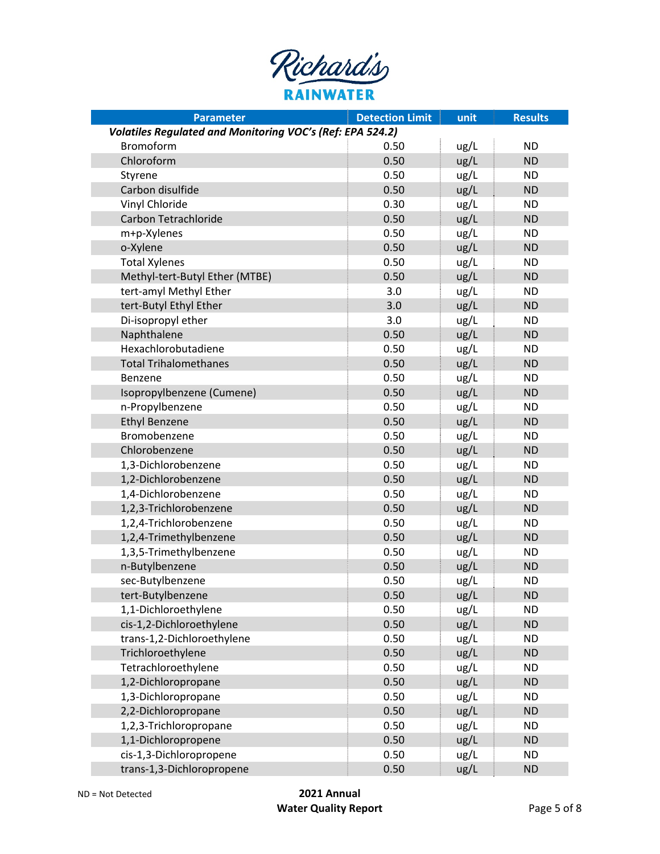| Richard's        |
|------------------|
| <b>RAINWATER</b> |

| <b>Parameter</b>                                          | <b>Detection Limit</b> | unit | <b>Results</b> |
|-----------------------------------------------------------|------------------------|------|----------------|
| Volatiles Regulated and Monitoring VOC's (Ref: EPA 524.2) |                        |      |                |
| Bromoform                                                 | 0.50                   | ug/L | <b>ND</b>      |
| Chloroform                                                | 0.50                   | ug/L | <b>ND</b>      |
| Styrene                                                   | 0.50                   | ug/L | <b>ND</b>      |
| Carbon disulfide                                          | 0.50                   | ug/L | <b>ND</b>      |
| Vinyl Chloride                                            | 0.30                   | ug/L | <b>ND</b>      |
| Carbon Tetrachloride                                      | 0.50                   | ug/L | <b>ND</b>      |
| m+p-Xylenes                                               | 0.50                   | ug/L | <b>ND</b>      |
| o-Xylene                                                  | 0.50                   | ug/L | <b>ND</b>      |
| <b>Total Xylenes</b>                                      | 0.50                   | ug/L | <b>ND</b>      |
| Methyl-tert-Butyl Ether (MTBE)                            | 0.50                   | ug/L | <b>ND</b>      |
| tert-amyl Methyl Ether                                    | 3.0                    | ug/L | <b>ND</b>      |
| tert-Butyl Ethyl Ether                                    | 3.0                    | ug/L | <b>ND</b>      |
| Di-isopropyl ether                                        | 3.0                    | ug/L | <b>ND</b>      |
| Naphthalene                                               | 0.50                   | ug/L | <b>ND</b>      |
| Hexachlorobutadiene                                       | 0.50                   | ug/L | <b>ND</b>      |
| <b>Total Trihalomethanes</b>                              | 0.50                   | ug/L | <b>ND</b>      |
| Benzene                                                   | 0.50                   | ug/L | <b>ND</b>      |
| Isopropylbenzene (Cumene)                                 | 0.50                   | ug/L | <b>ND</b>      |
| n-Propylbenzene                                           | 0.50                   | ug/L | <b>ND</b>      |
| <b>Ethyl Benzene</b>                                      | 0.50                   | ug/L | <b>ND</b>      |
| Bromobenzene                                              | 0.50                   | ug/L | <b>ND</b>      |
| Chlorobenzene                                             | 0.50                   | ug/L | <b>ND</b>      |
| 1,3-Dichlorobenzene                                       | 0.50                   | ug/L | <b>ND</b>      |
| 1,2-Dichlorobenzene                                       | 0.50                   | ug/L | <b>ND</b>      |
| 1,4-Dichlorobenzene                                       | 0.50                   | ug/L | <b>ND</b>      |
| 1,2,3-Trichlorobenzene                                    | 0.50                   | ug/L | <b>ND</b>      |
| 1,2,4-Trichlorobenzene                                    | 0.50                   | ug/L | <b>ND</b>      |
| 1,2,4-Trimethylbenzene                                    | 0.50                   | ug/L | <b>ND</b>      |
| 1,3,5-Trimethylbenzene                                    | 0.50                   | ug/L | <b>ND</b>      |
| n-Butylbenzene                                            | 0.50                   | ug/L | <b>ND</b>      |
| sec-Butylbenzene                                          | 0.50                   | ug/L | <b>ND</b>      |
| tert-Butylbenzene                                         | 0.50                   | ug/L | <b>ND</b>      |
| 1,1-Dichloroethylene                                      | 0.50                   | ug/L | <b>ND</b>      |
| cis-1,2-Dichloroethylene                                  | 0.50                   | ug/L | <b>ND</b>      |
| trans-1,2-Dichloroethylene                                | 0.50                   | ug/L | <b>ND</b>      |
| Trichloroethylene                                         | 0.50                   | ug/L | <b>ND</b>      |
| Tetrachloroethylene                                       | 0.50                   | ug/L | <b>ND</b>      |
| 1,2-Dichloropropane                                       | 0.50                   | ug/L | <b>ND</b>      |
| 1,3-Dichloropropane                                       | 0.50                   | ug/L | <b>ND</b>      |
| 2,2-Dichloropropane                                       | 0.50                   | ug/L | <b>ND</b>      |
| 1,2,3-Trichloropropane                                    | 0.50                   | ug/L | <b>ND</b>      |
| 1,1-Dichloropropene                                       | 0.50                   | ug/L | <b>ND</b>      |
| cis-1,3-Dichloropropene                                   | 0.50                   | ug/L | <b>ND</b>      |
| trans-1,3-Dichloropropene                                 | 0.50                   | ug/L | <b>ND</b>      |
|                                                           |                        |      |                |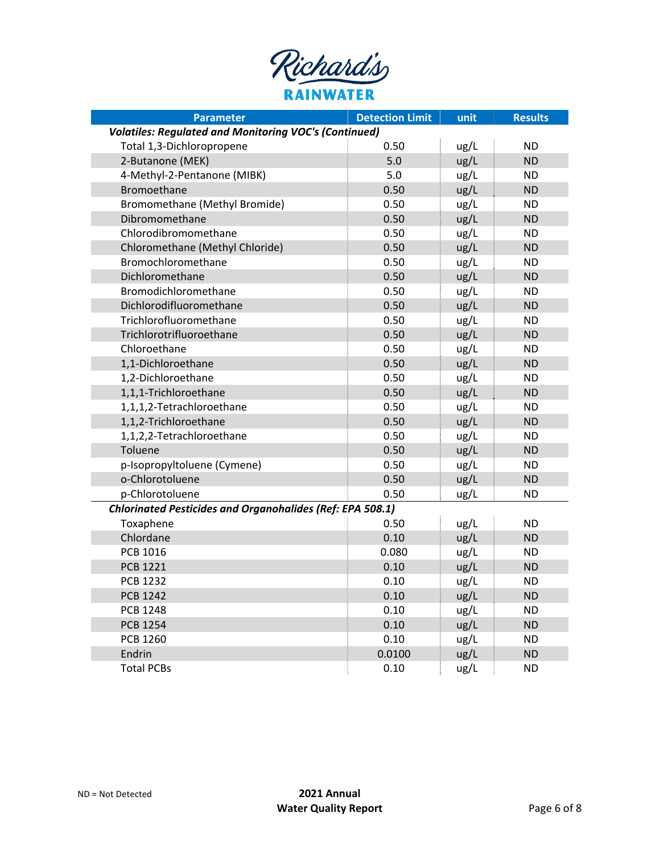| Richard's        |
|------------------|
| <b>RAINWATER</b> |

| <b>Parameter</b>                                                 | <b>Detection Limit</b> | unit | <b>Results</b> |
|------------------------------------------------------------------|------------------------|------|----------------|
| <b>Volatiles: Regulated and Monitoring VOC's (Continued)</b>     |                        |      |                |
| Total 1,3-Dichloropropene                                        | 0.50                   | ug/L | <b>ND</b>      |
| 2-Butanone (MEK)                                                 | 5.0                    | ug/L | <b>ND</b>      |
| 4-Methyl-2-Pentanone (MIBK)                                      | 5.0                    | ug/L | <b>ND</b>      |
| Bromoethane                                                      | 0.50                   | ug/L | <b>ND</b>      |
| Bromomethane (Methyl Bromide)                                    | 0.50                   | ug/L | <b>ND</b>      |
| Dibromomethane                                                   | 0.50                   | ug/L | <b>ND</b>      |
| Chlorodibromomethane                                             | 0.50                   | ug/L | <b>ND</b>      |
| Chloromethane (Methyl Chloride)                                  | 0.50                   | ug/L | <b>ND</b>      |
| Bromochloromethane                                               | 0.50                   | ug/L | <b>ND</b>      |
| Dichloromethane                                                  | 0.50                   | ug/L | <b>ND</b>      |
| Bromodichloromethane                                             | 0.50                   | ug/L | <b>ND</b>      |
| Dichlorodifluoromethane                                          | 0.50                   | ug/L | <b>ND</b>      |
| Trichlorofluoromethane                                           | 0.50                   | ug/L | <b>ND</b>      |
| Trichlorotrifluoroethane                                         | 0.50                   | ug/L | <b>ND</b>      |
| Chloroethane                                                     | 0.50                   | ug/L | <b>ND</b>      |
| 1,1-Dichloroethane                                               | 0.50                   | ug/L | <b>ND</b>      |
| 1,2-Dichloroethane                                               | 0.50                   | ug/L | <b>ND</b>      |
| 1,1,1-Trichloroethane                                            | 0.50                   | ug/L | <b>ND</b>      |
| 1,1,1,2-Tetrachloroethane                                        | 0.50                   | ug/L | <b>ND</b>      |
| 1,1,2-Trichloroethane                                            | 0.50                   | ug/L | <b>ND</b>      |
| 1,1,2,2-Tetrachloroethane                                        | 0.50                   | ug/L | <b>ND</b>      |
| Toluene                                                          | 0.50                   | ug/L | <b>ND</b>      |
| p-Isopropyltoluene (Cymene)                                      | 0.50                   | ug/L | <b>ND</b>      |
| o-Chlorotoluene                                                  | 0.50                   | ug/L | <b>ND</b>      |
| p-Chlorotoluene                                                  | 0.50                   | ug/L | <b>ND</b>      |
| <b>Chlorinated Pesticides and Organohalides (Ref: EPA 508.1)</b> |                        |      |                |
| Toxaphene                                                        | 0.50                   | ug/L | <b>ND</b>      |
| Chlordane                                                        | 0.10                   | ug/L | <b>ND</b>      |
| <b>PCB 1016</b>                                                  | 0.080                  | ug/L | <b>ND</b>      |
| <b>PCB 1221</b>                                                  | 0.10                   | ug/L | <b>ND</b>      |
| <b>PCB 1232</b>                                                  | 0.10                   | ug/L | <b>ND</b>      |
| <b>PCB 1242</b>                                                  | 0.10                   | ug/L | <b>ND</b>      |
| <b>PCB 1248</b>                                                  | 0.10                   | ug/L | <b>ND</b>      |
| <b>PCB 1254</b>                                                  | 0.10                   | ug/L | <b>ND</b>      |
| <b>PCB 1260</b>                                                  | 0.10                   | ug/L | <b>ND</b>      |
| Endrin                                                           | 0.0100                 | ug/L | <b>ND</b>      |
| <b>Total PCBs</b>                                                | 0.10                   | ug/L | <b>ND</b>      |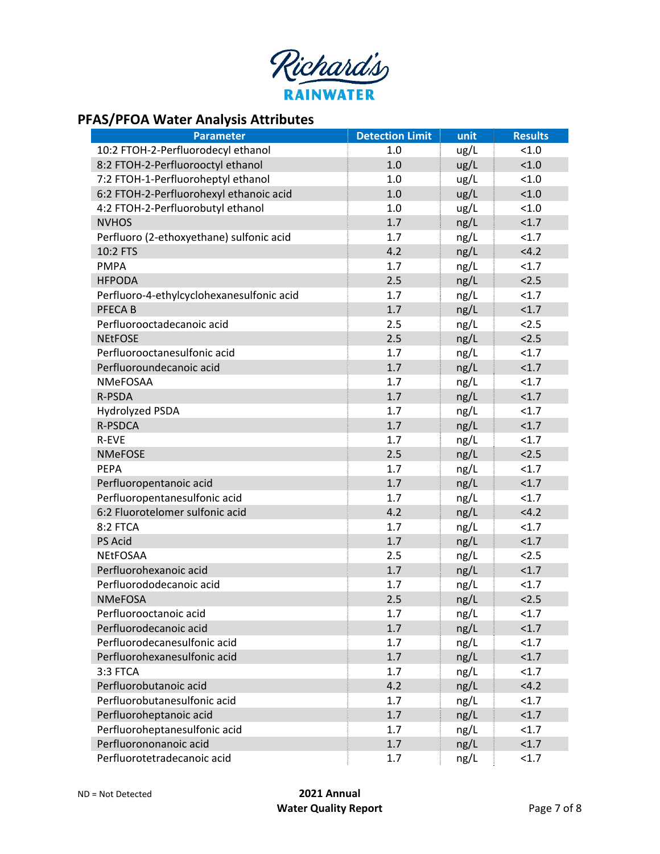

# **PFAS/PFOA Water Analysis Attributes**

| <b>Parameter</b>                          | <b>Detection Limit</b> | unit | <b>Results</b> |
|-------------------------------------------|------------------------|------|----------------|
| 10:2 FTOH-2-Perfluorodecyl ethanol        | 1.0                    | ug/L | < 1.0          |
| 8:2 FTOH-2-Perfluorooctyl ethanol         | 1.0                    | ug/L | < 1.0          |
| 7:2 FTOH-1-Perfluoroheptyl ethanol        | 1.0                    | ug/L | < 1.0          |
| 6:2 FTOH-2-Perfluorohexyl ethanoic acid   | 1.0                    | ug/L | 1.0            |
| 4:2 FTOH-2-Perfluorobutyl ethanol         | 1.0                    | ug/L | < 1.0          |
| <b>NVHOS</b>                              | 1.7                    | ng/L | <1.7           |
| Perfluoro (2-ethoxyethane) sulfonic acid  | 1.7                    | ng/L | <1.7           |
| 10:2 FTS                                  | 4.2                    | ng/L | <4.2           |
| <b>PMPA</b>                               | 1.7                    | ng/L | <1.7           |
| <b>HFPODA</b>                             | 2.5                    | ng/L | 2.5            |
| Perfluoro-4-ethylcyclohexanesulfonic acid | 1.7                    | ng/L | <1.7           |
| PFECA B                                   | 1.7                    | ng/L | < 1.7          |
| Perfluorooctadecanoic acid                | 2.5                    | ng/L | 2.5            |
| <b>NEtFOSE</b>                            | 2.5                    | ng/L | 2.5            |
| Perfluorooctanesulfonic acid              | 1.7                    | ng/L | <1.7           |
| Perfluoroundecanoic acid                  | 1.7                    | ng/L | < 1.7          |
| <b>NMeFOSAA</b>                           | 1.7                    | ng/L | <1.7           |
| R-PSDA                                    | 1.7                    | ng/L | < 1.7          |
| Hydrolyzed PSDA                           | 1.7                    | ng/L | <1.7           |
| R-PSDCA                                   | 1.7                    | ng/L | < 1.7          |
| R-EVE                                     | 1.7                    | ng/L | <1.7           |
| <b>NMeFOSE</b>                            | 2.5                    | ng/L | 2.5            |
| <b>PEPA</b>                               | 1.7                    | ng/L | <1.7           |
| Perfluoropentanoic acid                   | 1.7                    | ng/L | <1.7           |
| Perfluoropentanesulfonic acid             | 1.7                    | ng/L | <1.7           |
| 6:2 Fluorotelomer sulfonic acid           | 4.2                    | ng/L | <4.2           |
| 8:2 FTCA                                  | 1.7                    | ng/L | <1.7           |
| PS Acid                                   | 1.7                    | ng/L | <1.7           |
| <b>NEtFOSAA</b>                           | 2.5                    | ng/L | 2.5            |
| Perfluorohexanoic acid                    | 1.7                    | ng/L | <1.7           |
| Perfluorododecanoic acid                  | 1.7                    | ng/L | <1.7           |
| <b>NMeFOSA</b>                            | 2.5                    | ng/L | 2.5            |
| Perfluorooctanoic acid                    | 1.7                    | ng/L | $1.7$          |
| Perfluorodecanoic acid                    | 1.7                    | ng/L | <1.7           |
| Perfluorodecanesulfonic acid              | 1.7                    | ng/L | <1.7           |
| Perfluorohexanesulfonic acid              | 1.7                    | ng/L | < 1.7          |
| 3:3 FTCA                                  | 1.7                    | ng/L | <1.7           |
| Perfluorobutanoic acid                    | 4.2                    | ng/L | <4.2           |
| Perfluorobutanesulfonic acid              | 1.7                    | ng/L | <1.7           |
| Perfluoroheptanoic acid                   | 1.7                    | ng/L | <1.7           |
| Perfluoroheptanesulfonic acid             | 1.7                    | ng/L | < 1.7          |
| Perfluorononanoic acid                    | 1.7                    | ng/L | < 1.7          |
| Perfluorotetradecanoic acid               | 1.7                    | ng/L | <1.7           |